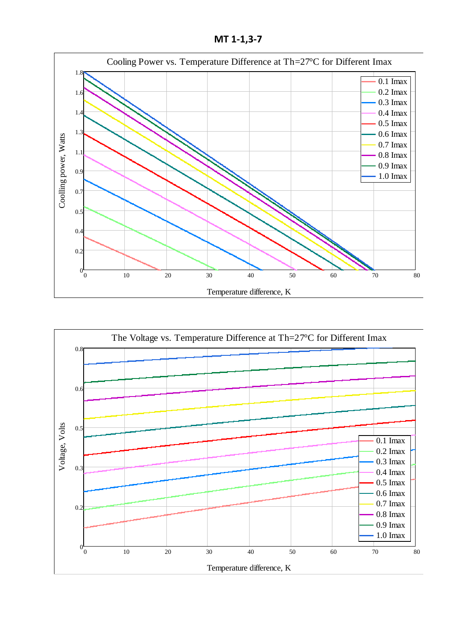**МТ 1-1,3-7**